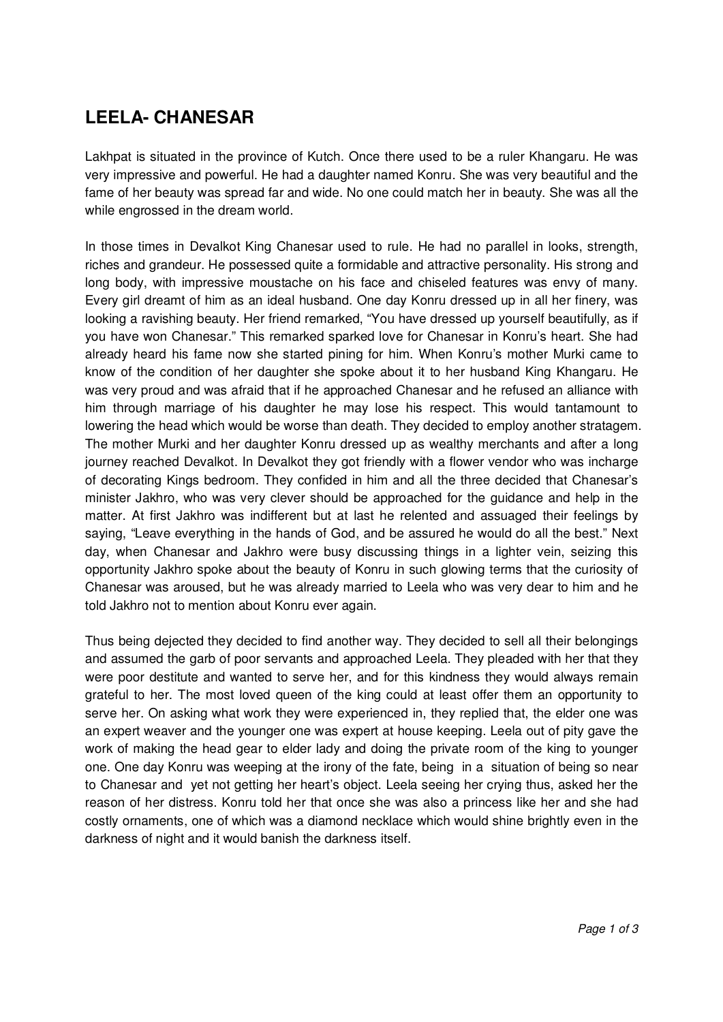## **LEELA- CHANESAR**

Lakhpat is situated in the province of Kutch. Once there used to be a ruler Khangaru. He was very impressive and powerful. He had a daughter named Konru. She was very beautiful and the fame of her beauty was spread far and wide. No one could match her in beauty. She was all the while engrossed in the dream world.

In those times in Devalkot King Chanesar used to rule. He had no parallel in looks, strength, riches and grandeur. He possessed quite a formidable and attractive personality. His strong and long body, with impressive moustache on his face and chiseled features was envy of many. Every girl dreamt of him as an ideal husband. One day Konru dressed up in all her finery, was looking a ravishing beauty. Her friend remarked, "You have dressed up yourself beautifully, as if you have won Chanesar." This remarked sparked love for Chanesar in Konru's heart. She had already heard his fame now she started pining for him. When Konru's mother Murki came to know of the condition of her daughter she spoke about it to her husband King Khangaru. He was very proud and was afraid that if he approached Chanesar and he refused an alliance with him through marriage of his daughter he may lose his respect. This would tantamount to lowering the head which would be worse than death. They decided to employ another stratagem. The mother Murki and her daughter Konru dressed up as wealthy merchants and after a long journey reached Devalkot. In Devalkot they got friendly with a flower vendor who was incharge of decorating Kings bedroom. They confided in him and all the three decided that Chanesar's minister Jakhro, who was very clever should be approached for the guidance and help in the matter. At first Jakhro was indifferent but at last he relented and assuaged their feelings by saying, "Leave everything in the hands of God, and be assured he would do all the best." Next day, when Chanesar and Jakhro were busy discussing things in a lighter vein, seizing this opportunity Jakhro spoke about the beauty of Konru in such glowing terms that the curiosity of Chanesar was aroused, but he was already married to Leela who was very dear to him and he told Jakhro not to mention about Konru ever again.

Thus being dejected they decided to find another way. They decided to sell all their belongings and assumed the garb of poor servants and approached Leela. They pleaded with her that they were poor destitute and wanted to serve her, and for this kindness they would always remain grateful to her. The most loved queen of the king could at least offer them an opportunity to serve her. On asking what work they were experienced in, they replied that, the elder one was an expert weaver and the younger one was expert at house keeping. Leela out of pity gave the work of making the head gear to elder lady and doing the private room of the king to younger one. One day Konru was weeping at the irony of the fate, being in a situation of being so near to Chanesar and yet not getting her heart's object. Leela seeing her crying thus, asked her the reason of her distress. Konru told her that once she was also a princess like her and she had costly ornaments, one of which was a diamond necklace which would shine brightly even in the darkness of night and it would banish the darkness itself.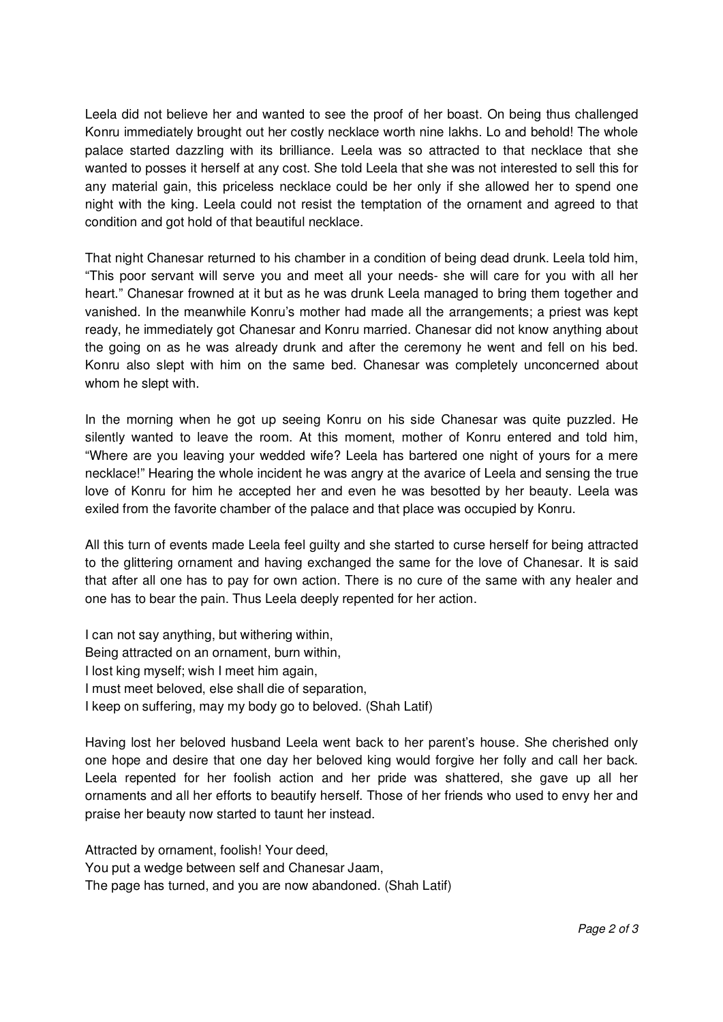Leela did not believe her and wanted to see the proof of her boast. On being thus challenged Konru immediately brought out her costly necklace worth nine lakhs. Lo and behold! The whole palace started dazzling with its brilliance. Leela was so attracted to that necklace that she wanted to posses it herself at any cost. She told Leela that she was not interested to sell this for any material gain, this priceless necklace could be her only if she allowed her to spend one night with the king. Leela could not resist the temptation of the ornament and agreed to that condition and got hold of that beautiful necklace.

That night Chanesar returned to his chamber in a condition of being dead drunk. Leela told him, "This poor servant will serve you and meet all your needs- she will care for you with all her heart." Chanesar frowned at it but as he was drunk Leela managed to bring them together and vanished. In the meanwhile Konru's mother had made all the arrangements; a priest was kept ready, he immediately got Chanesar and Konru married. Chanesar did not know anything about the going on as he was already drunk and after the ceremony he went and fell on his bed. Konru also slept with him on the same bed. Chanesar was completely unconcerned about whom he slept with.

In the morning when he got up seeing Konru on his side Chanesar was quite puzzled. He silently wanted to leave the room. At this moment, mother of Konru entered and told him, "Where are you leaving your wedded wife? Leela has bartered one night of yours for a mere necklace!" Hearing the whole incident he was angry at the avarice of Leela and sensing the true love of Konru for him he accepted her and even he was besotted by her beauty. Leela was exiled from the favorite chamber of the palace and that place was occupied by Konru.

All this turn of events made Leela feel guilty and she started to curse herself for being attracted to the glittering ornament and having exchanged the same for the love of Chanesar. It is said that after all one has to pay for own action. There is no cure of the same with any healer and one has to bear the pain. Thus Leela deeply repented for her action.

I can not say anything, but withering within, Being attracted on an ornament, burn within, I lost king myself; wish I meet him again, I must meet beloved, else shall die of separation, I keep on suffering, may my body go to beloved. (Shah Latif)

Having lost her beloved husband Leela went back to her parent's house. She cherished only one hope and desire that one day her beloved king would forgive her folly and call her back. Leela repented for her foolish action and her pride was shattered, she gave up all her ornaments and all her efforts to beautify herself. Those of her friends who used to envy her and praise her beauty now started to taunt her instead.

Attracted by ornament, foolish! Your deed, You put a wedge between self and Chanesar Jaam, The page has turned, and you are now abandoned. (Shah Latif)